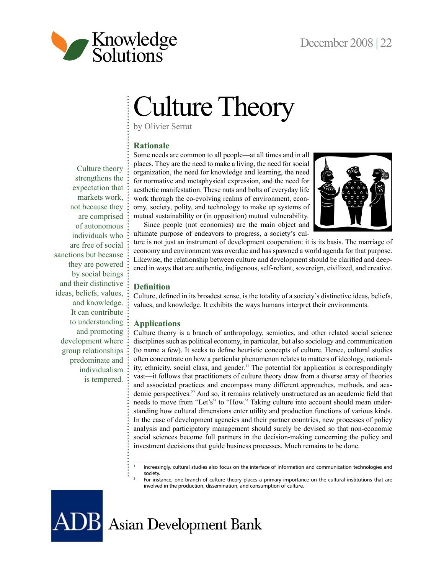

# Culture Theory

by Olivier Serrat

# **Rationale**

Culture theory strengthens the expectation that markets work, not because they are comprised of autonomous individuals who are free of social sanctions but because they are powered by social beings and their distinctive ideas, beliefs, values, and knowledge. It can contribute to understanding and promoting development where group relationships predominate and individualism is tempered. Some needs are common to all people—at all times and in all places. They are the need to make a living, the need for social organization, the need for knowledge and learning, the need for normative and metaphysical expression, and the need for aesthetic manifestation. These nuts and bolts of everyday life work through the co-evolving realms of environment, economy, society, polity, and technology to make up systems of mutual sustainability or (in opposition) mutual vulnerability.

Since people (not economies) are the main object and ultimate purpose of endeavors to progress, a society's cul-



ture is not just an instrument of development cooperation: it is its basis. The marriage of economy and environment was overdue and has spawned a world agenda for that purpose. Likewise, the relationship between culture and development should be clarified and deepened in ways that are authentic, indigenous, self-reliant, sovereign, civilized, and creative.

### **Definition**

Culture, defined in its broadest sense, is the totality of a society's distinctive ideas, beliefs, values, and knowledge. It exhibits the ways humans interpret their environments.

#### **Applications**

Culture theory is a branch of anthropology, semiotics, and other related social science disciplines such as political economy, in particular, but also sociology and communication (to name a few). It seeks to define heuristic concepts of culture. Hence, cultural studies often concentrate on how a particular phenomenon relates to matters of ideology, nationality, ethnicity, social class, and gender.<sup>11</sup> The potential for application is correspondingly vast—it follows that practitioners of culture theory draw from a diverse array of theories and associated practices and encompass many different approaches, methods, and academic perspectives.22 And so, it remains relatively unstructured as an academic field that needs to move from "Let's" to "How." Taking culture into account should mean understanding how cultural dimensions enter utility and production functions of various kinds. In the case of development agencies and their partner countries, new processes of policy analysis and participatory management should surely be devised so that non-economic social sciences become full partners in the decision-making concerning the policy and investment decisions that guide business processes. Much remains to be done.

<sup>1</sup> Increasingly, cultural studies also focus on the interface of information and communication technologies and society.

For instance, one branch of culture theory places a primary importance on the cultural institutions that are involved in the production, dissemination, and consumption of culture.

**JB** Asian Development Bank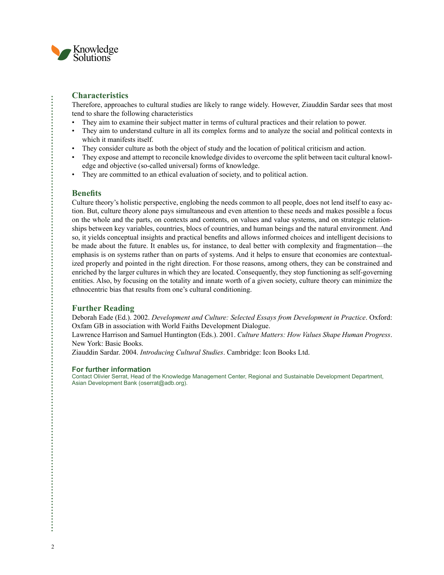

### **Characteristics**

Therefore, approaches to cultural studies are likely to range widely. However, Ziauddin Sardar sees that most tend to share the following characteristics

- They aim to examine their subject matter in terms of cultural practices and their relation to power.
- They aim to understand culture in all its complex forms and to analyze the social and political contexts in which it manifests itself.
- They consider culture as both the object of study and the location of political criticism and action.
- They expose and attempt to reconcile knowledge divides to overcome the split between tacit cultural knowledge and objective (so-called universal) forms of knowledge.
- They are committed to an ethical evaluation of society, and to political action.

#### **Benefits**

Culture theory's holistic perspective, englobing the needs common to all people, does not lend itself to easy action. But, culture theory alone pays simultaneous and even attention to these needs and makes possible a focus on the whole and the parts, on contexts and contents, on values and value systems, and on strategic relationships between key variables, countries, blocs of countries, and human beings and the natural environment. And so, it yields conceptual insights and practical benefits and allows informed choices and intelligent decisions to be made about the future. It enables us, for instance, to deal better with complexity and fragmentation—the emphasis is on systems rather than on parts of systems. And it helps to ensure that economies are contextualized properly and pointed in the right direction. For those reasons, among others, they can be constrained and enriched by the larger cultures in which they are located. Consequently, they stop functioning as self-governing entities. Also, by focusing on the totality and innate worth of a given society, culture theory can minimize the ethnocentric bias that results from one's cultural conditioning.

## **Further Reading**

Deborah Eade (Ed.). 2002. *Development and Culture: Selected Essays from Development in Practice*. Oxford: Oxfam GB in association with World Faiths Development Dialogue.

Lawrence Harrison and Samuel Huntington (Eds.). 2001. *Culture Matters: How Values Shape Human Progress*. New York: Basic Books.

Ziauddin Sardar. 2004. *Introducing Cultural Studies*. Cambridge: Icon Books Ltd.

#### **For further information**

Contact Olivier Serrat, Head of the Knowledge Management Center, Regional and Sustainable Development Department, Asian Development Bank (oserrat@adb.org).

J.